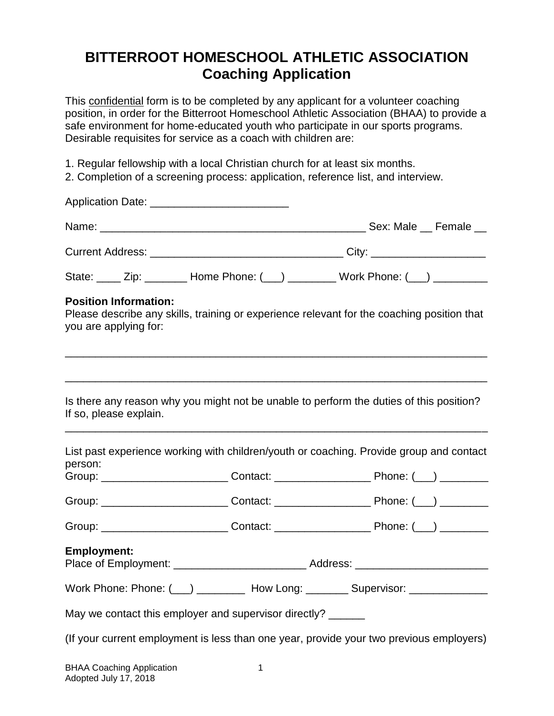# **BITTERROOT HOMESCHOOL ATHLETIC ASSOCIATION Coaching Application**

This confidential form is to be completed by any applicant for a volunteer coaching position, in order for the Bitterroot Homeschool Athletic Association (BHAA) to provide a safe environment for home-educated youth who participate in our sports programs. Desirable requisites for service as a coach with children are:

- 1. Regular fellowship with a local Christian church for at least six months.
- 2. Completion of a screening process: application, reference list, and interview.

|                                                              | State: _____ Zip: ________ Home Phone: (___) _________ Work Phone: (___) ________          |  |
|--------------------------------------------------------------|--------------------------------------------------------------------------------------------|--|
| <b>Position Information:</b><br>you are applying for:        | Please describe any skills, training or experience relevant for the coaching position that |  |
| If so, please explain.                                       | Is there any reason why you might not be unable to perform the duties of this position?    |  |
| person:                                                      | List past experience working with children/youth or coaching. Provide group and contact    |  |
|                                                              |                                                                                            |  |
|                                                              |                                                                                            |  |
|                                                              |                                                                                            |  |
| <b>Employment:</b>                                           |                                                                                            |  |
|                                                              | Work Phone: Phone: (___) _________ How Long: ________ Supervisor: ______________           |  |
| May we contact this employer and supervisor directly? ______ |                                                                                            |  |
|                                                              | (If your current employment is less than one year, provide your two previous employers)    |  |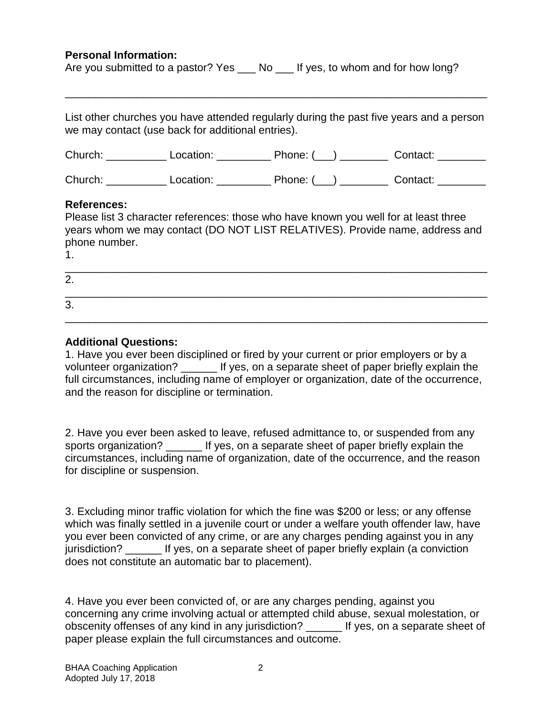### **Personal Information:**

| Are you submitted to a pastor? Yes |  | No __ If yes, to whom and for how long? |  |
|------------------------------------|--|-----------------------------------------|--|
|------------------------------------|--|-----------------------------------------|--|

List other churches you have attended regularly during the past five years and a person we may contact (use back for additional entries).

\_\_\_\_\_\_\_\_\_\_\_\_\_\_\_\_\_\_\_\_\_\_\_\_\_\_\_\_\_\_\_\_\_\_\_\_\_\_\_\_\_\_\_\_\_\_\_\_\_\_\_\_\_\_\_\_\_\_\_\_\_\_\_\_\_\_\_\_\_\_

| Church: | Location: | Phone: ( | Contact: |
|---------|-----------|----------|----------|
|         |           |          |          |

Church: Location: \_\_\_\_\_\_\_\_\_ Phone: (\_\_) \_\_\_\_\_\_\_ Contact: \_\_\_\_\_\_\_

### **References:**

| Please list 3 character references: those who have known you well for at least three |
|--------------------------------------------------------------------------------------|
| years whom we may contact (DO NOT LIST RELATIVES). Provide name, address and         |
| phone number.                                                                        |

| ٦<br>I |  |
|--------|--|
|        |  |

| 2. |  |  |  |
|----|--|--|--|
| 3. |  |  |  |

## **Additional Questions:**

1. Have you ever been disciplined or fired by your current or prior employers or by a volunteer organization? \_\_\_\_\_\_\_ If yes, on a separate sheet of paper briefly explain the full circumstances, including name of employer or organization, date of the occurrence, and the reason for discipline or termination.

2. Have you ever been asked to leave, refused admittance to, or suspended from any sports organization? If yes, on a separate sheet of paper briefly explain the circumstances, including name of organization, date of the occurrence, and the reason for discipline or suspension.

3. Excluding minor traffic violation for which the fine was \$200 or less; or any offense which was finally settled in a juvenile court or under a welfare youth offender law, have you ever been convicted of any crime, or are any charges pending against you in any jurisdiction? If yes, on a separate sheet of paper briefly explain (a conviction does not constitute an automatic bar to placement).

4. Have you ever been convicted of, or are any charges pending, against you concerning any crime involving actual or attempted child abuse, sexual molestation, or obscenity offenses of any kind in any jurisdiction? \_\_\_\_\_\_ If yes, on a separate sheet of paper please explain the full circumstances and outcome.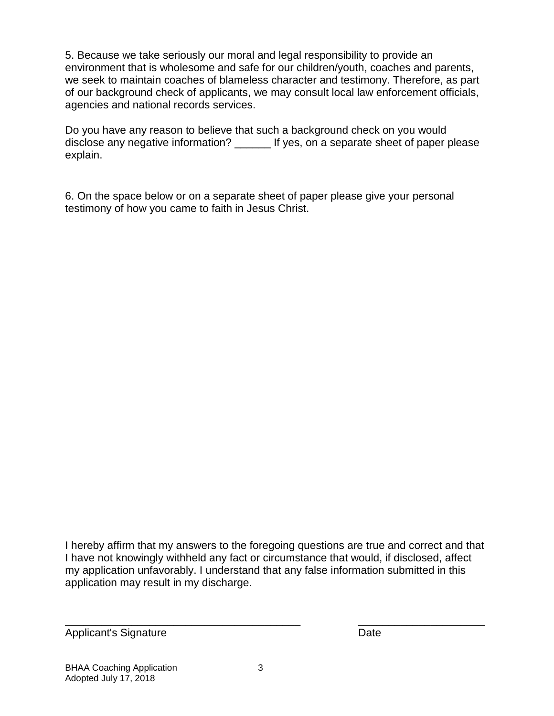5. Because we take seriously our moral and legal responsibility to provide an environment that is wholesome and safe for our children/youth, coaches and parents, we seek to maintain coaches of blameless character and testimony. Therefore, as part of our background check of applicants, we may consult local law enforcement officials, agencies and national records services.

Do you have any reason to believe that such a background check on you would disclose any negative information? \_\_\_\_\_\_ If yes, on a separate sheet of paper please explain.

6. On the space below or on a separate sheet of paper please give your personal testimony of how you came to faith in Jesus Christ.

I hereby affirm that my answers to the foregoing questions are true and correct and that I have not knowingly withheld any fact or circumstance that would, if disclosed, affect my application unfavorably. I understand that any false information submitted in this application may result in my discharge.

 $\overline{a}$  , and the contribution of the contribution of the contribution of the contribution of the contribution of  $\overline{a}$ 

Applicant's Signature **Date**